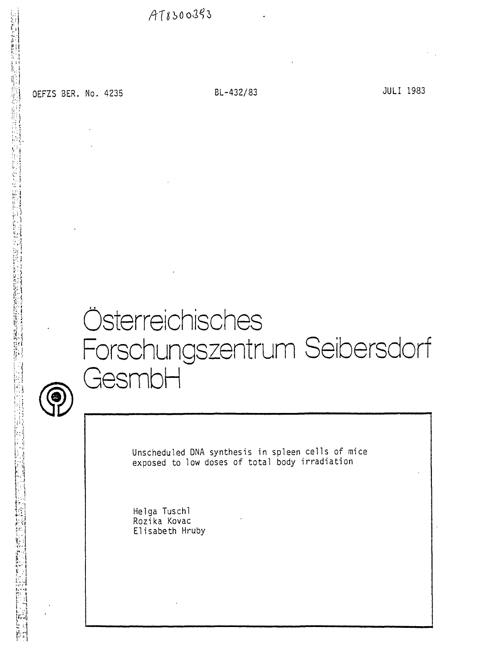$AT8500393$ 

0EFZS BER. No. 4235 BL-432/83 BL-432/83

 $\sim$ 

# Österreichisches Forschungszentrum Seibersdorf GesmbH



Unscheduled DNA synthesis in spleen cells of mice exposed to low doses of total body irradiation

Helga Tuschl Rozika Kovac Elisabeth Hruby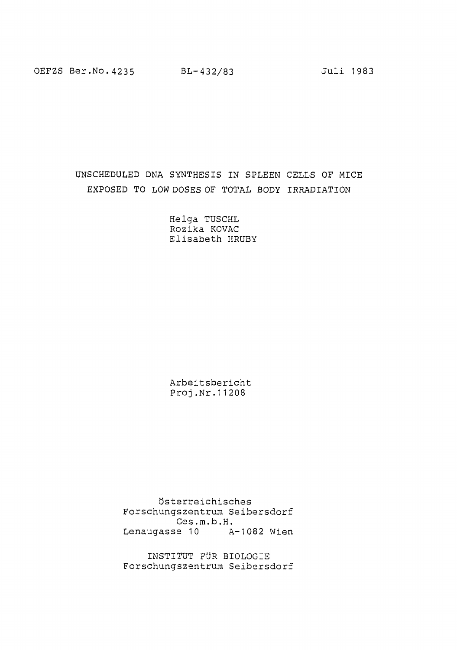OEFZS Ber.No.4235 BL-432/83 Juli 1983

### UNSCHEDULED DNA SYNTHESIS IN SPLEEN CELLS OF MICE EXPOSED TO LOW DOSES OF TOTAL BODY IRRADIATION

Helga TUSCHL Rozika KOVAC Elisabeth HRUBY

Arbeitsbericht Proj.Nr.11208

Österreichisches Forschungszentrum Seibersdorf Ges.m.b.H. Lenaugasse 10 A-1082 Wien

INSTITUT FÜR BIOLOGIE Forschungszentrum Seibersdorf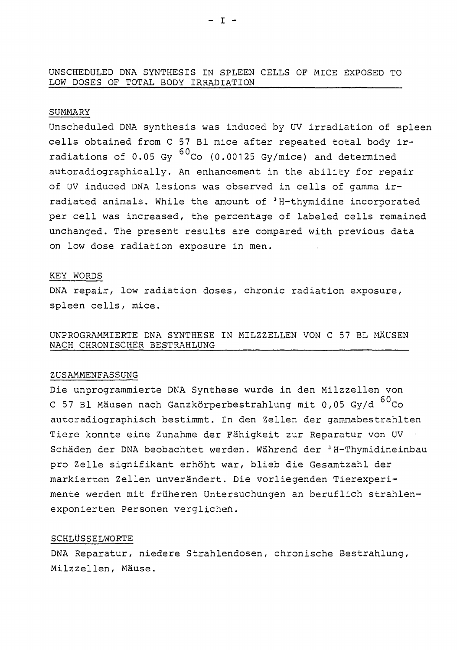#### UNSCHEDULED DNA SYNTHESIS IN SPLEEN CELLS OF MICE EXPOSED TO LOW DOSES OF TOTAL BODY IRRADIATION

#### SUMMARY

Unscheduled DNA synthesis was induced by UV irradiation of spleen cells obtained from C 57 Bl mice after repeated total body irradiations of  $0.05$  Gy  $^{60}$ Co (0.00125 Gy/mice) and determined autoradiographically. An enhancement in the ability for repair of UV induced DNA lesions was observed in cells of gamma irradiated animals. While the amount of <sup>3</sup>H-thymidine incorporated per cell was increased, the percentage of labeled cells remained unchanged. The present results are compared with previous data on low dose radiation exposure in men.

#### KEY WORDS

DNA repair, low radiation doses, chronic radiation exposure, spleen cells, mice.

UNPROGRAMHIERTE DNA SYNTHESE IN MILZZELLEN VON C 57 BL MÄUSEN NACH CHRONISCHER BESTRAHLUNG

#### ZUSAMMENFASSUNG

Die unprogrammierte DNA Synthese wurde in den Milzzellen von C 57 Bl Mäusen nach Ganzkörperbestrahlung mit 0,05 Gy/d <sup>60</sup>Co autoradiographisch bestimmt. In den Zellen der gammabestrahlten Tiere konnte eine Zunahme der Fähigkeit zur Reparatur von UV • Schäden der DNA beobachtet werden. Während der <sup>3</sup>H-Thymidineinbau pro Zelle signifikant erhöht war, blieb die Gesamtzahl der markierten Zellen unverändert. Die vorliegenden Tierexperimente werden mit früheren Untersuchungen an beruflich strahlenexponierten Personen verglichen.

#### SCHLÜSSELWORTE

DNA Reparatur, niedere Strahlendosen, chronische Bestrahlung, Milzzellen, Mäuse.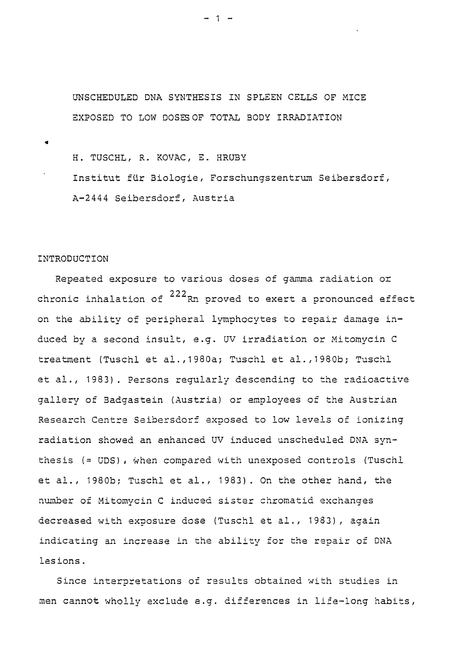UNSCHEDULED DNA SYNTHESIS IN SPLEEN CELLS OF MICE EXPOSED TO LOW DOSES OF TOTAL BODY IRRADIATION

H. TUSCHL, R. KOVAC, E. HRUBY Institut für 3iologie, Forschungszentrum Seibersdorf A-2444 Seibersdorf, Austria

#### INTRODUCTION

Repeated exposure to various doses of gamma radiation or chronic inhalation of  $^{222}$ Rn proved to exert a pronounced effect on the ability of peripheral lymphocytes to repair damage induced by a second insult, e.g. UV irradiation or Mitomycin C treatment (Tuschl et al., 1980a; Tuschl et al., 1980b; Tuschl et al., 1983). Persons reqularly descending to the radioactive gallery of Badgastein (Austria) or employees of the Austrian Research Centre Seibersdorf exposed to low levels of ionizing radiation showed an enhanced UV induced unscheduled DNA synthesis (= UDS), when compared with unexposed controls (Tuschl et al., 1980b; Tuschl et al., 1983). On the other hand, the number of Mitomycin C induced sister chromatid exchanges decreased with exposure dose (Tuschl et al., 1983), again indicating an increase in the ability for the repair of DNA indicating and increase in the ability for the ability for the ability for the ability for  $D$ 

Since interpretations of results obtained with studies in men cannot wholly exclude e.g. differences in life-long habits,

 $-1$   $-$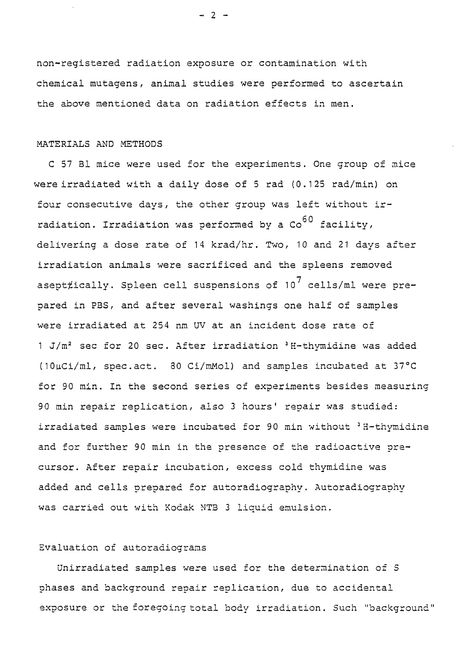non-registered radiation exposure or contamination with chemical mutagens, animal studies were performed to ascertain the above mentioned data on radiation effects in men.

#### MATERIALS AND METHODS

C 57 Bl mice were used for the experiments. One group of mice were irradiated with a daily dose of 5 rad (0.125 rad/min) on four consecutive days, the other group was left without irradiation. Irradiation was performed by a  $\cos^{60}$  facility, delivering a dose rate of 14 krad/hr. Two, 10 and 21 days after irradiation animals were sacrificed and the spleens removed asept#ically. Spleen cell suspensions of  $10^7$  cells/ml were prepared in PBS, and after several washings one half of samples were irradiated at 254 nm UV at an incident dose rate of 1 J/m<sup>2</sup> sec for 20 sec. After irradiation <sup>3</sup> H-thymidine was added (1OuCi/ml, spec.act. 80 Ci/mMol) and samples incubated at 37°C for 90 min. In the second series of experiments besides measuring 90 min repair replication, also 3 hours' repair was studied: irradiated samples were incubated for 90 min without 'H-thymidine and for further 90 min in the presence of the radioactive precursor. After repair incubation, excess cold thymidine was added and cells prepared for autoradiography. Autoradiography was carried out with Kodak MTB 3 liquid emulsion.

#### Evaluation of autoradiograms

Unirradiated samples were used for the determination of S phases and background repair replication, due to accidental exposure or the foregoing total body irradiation. Such "background"

 $- 2 -$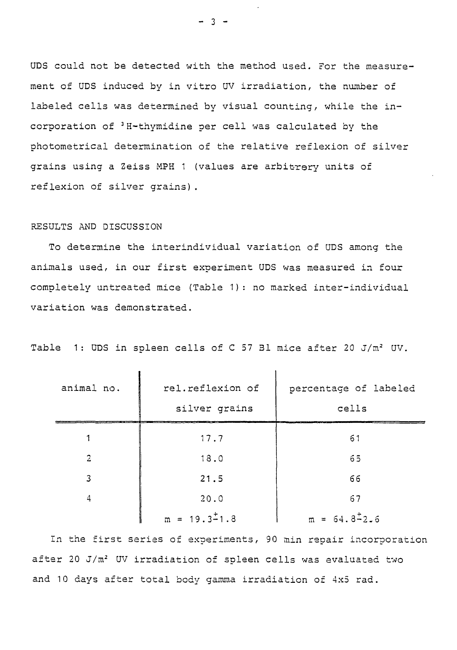UDS could not be detected with the method used. For the measurement of UDS induced by in vitro UV irradiation, the number of labeled cells was determined by visual counting, while the incorporation of <sup>3</sup>H-thymidine per cell was calculated by the photometrical determination of the relative reflexion of silver grains using a Zeiss MPH 1 (values are arbitrery units of reflexion of silver grains).

#### RESULTS AND DISCUSSION

 $\mathbf{r}$ 

To determine the interindividual variation of UDS among the animals used, in our first experiment UDS was measured in four completely untreated mice (Table 1): no marked inter-individual variation was demonstrated.

| animal no.     | rel.reflexion of         | percentage of labeled    |
|----------------|--------------------------|--------------------------|
|                | silver grains            | cells                    |
|                | 17.7                     | 61                       |
| $\overline{2}$ | 18.0                     | 65                       |
| 3              | 21.5                     | 66                       |
| 4              | 20.0                     | 67                       |
|                | $m = 19.3^{\text{+}}1.8$ | $m = 64.8^{\text{+}}2.6$ |

 $\mathbf{I}$ 

Table 1: UDS in spleen cells of C 57 Bl mice after 20 J/m<sup>2</sup> UV.

In the first series of experiments, 90 min repair incorporation after 20 J/m<sup>2</sup> UV irradiation of spleen cells was evaluated two and 10 days after total body gamma irradiation of 4x5 rad.

 $- 3 -$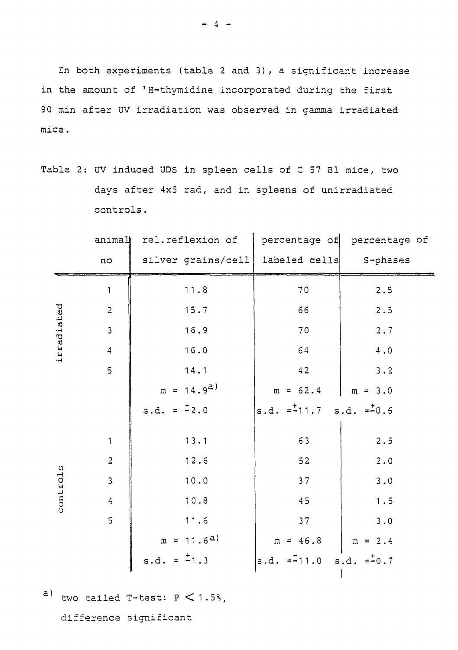In both experiments (table 2 and 3), a significant increase in the amount of <sup>3</sup> H-thymidine incorporated during the first 90 min after UV irradiation was observed in gamma irradiated mice.

|  |  |           |  |  |  |  |  | Table 2: UV induced UDS in spleen cells of C 57 Bl mice, two |  |
|--|--|-----------|--|--|--|--|--|--------------------------------------------------------------|--|
|  |  |           |  |  |  |  |  | days after 4x5 rad, and in spleens of unirradiated           |  |
|  |  | controls. |  |  |  |  |  |                                                              |  |

|            | anima          | rel.reflexion of        |                               | percentage of percentage of |  |  |  |
|------------|----------------|-------------------------|-------------------------------|-----------------------------|--|--|--|
|            | no             | silver grains/cell      | labeled cells                 | S-phases                    |  |  |  |
|            | $\mathbf 1$    | 11.8                    | 70                            | 2.5                         |  |  |  |
|            | $\overline{c}$ | 15.7                    | 66                            | 2.5                         |  |  |  |
|            | $\mathbf{3}$   | 16.9                    | 70                            | 2.7                         |  |  |  |
| irradiated | $\overline{4}$ | 16.0                    | 64                            | $4\,$ . $0\,$               |  |  |  |
|            | $\mathsf{S}$   | 14.1                    | 42                            | 3.2                         |  |  |  |
|            |                | $m = 14.9a$             | $m = 62.4$                    | $m = 3.0$                   |  |  |  |
|            |                | s.d. = $\frac{1}{2}$ .0 | $ s.d. = -11.7$ $s.d. = -0.6$ |                             |  |  |  |
|            | $\mathbf{1}$   | 13.1                    | 63                            | 2.5                         |  |  |  |
|            | $\overline{2}$ | 12.6                    | $52$                          | 2.0                         |  |  |  |
| controls   | $\mathbf{3}$   | 10.0                    | 37                            | $3.0$                       |  |  |  |
|            | $\overline{4}$ | 10.8                    | 45                            | 1.5                         |  |  |  |
|            | $\mathsf{S}$   | 11.6                    | 37                            | 3.0                         |  |  |  |
|            |                | $m = 11.6a$             | $m = 46.3$                    | $m = 2.4$                   |  |  |  |
|            |                | s.d. = $\pm 1.3$        | s.d. $= -11.0$ s.d. $= -0.7$  |                             |  |  |  |

a) two tailed T-test:  $P < 1.5\%$ ,

difference significant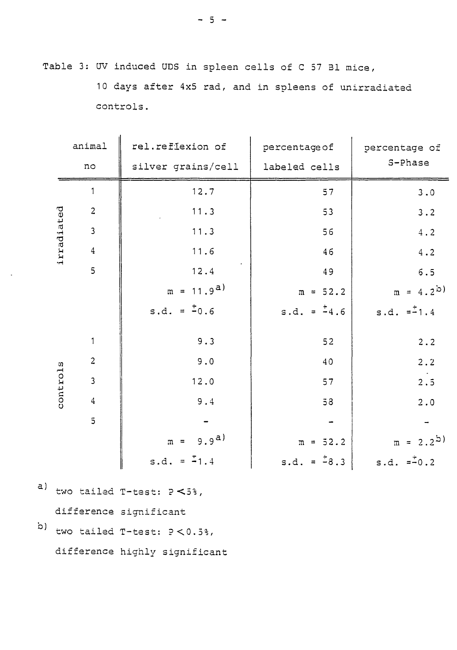Table 3: UV induced UDS in spleen cells of C 57 Bl mice, 10 days after 4x5 rad, and in spleens of unirradiated controls.

|            | animal                  | rel.reflexion of              | percentage of    | percentage of |
|------------|-------------------------|-------------------------------|------------------|---------------|
|            | no                      | silver grains/cell            | labeled cells    | S-Phase       |
|            | $\mathbf{1}$            | 12.7                          | 57               | 3.0           |
|            | $\mathbf{2}$            | 11.3                          | 53               | 3.2           |
|            | $\mathbf{3}$            | 11.3                          | 56               | $4\,$ . $2\,$ |
| irradiated | $\overline{\mathbf{4}}$ | 11.6                          | 46               | 4.2           |
|            | 5                       | 12.4                          | 49               | $6.5$         |
|            |                         | $m = 11.9a$                   | $m = 52.2$       | $m = 4.2^{b}$ |
|            |                         | s.d. = $\frac{1}{2}0.6$       | s.d. = $-4.6$    | $s.d. = -1.4$ |
|            | $\mathbf{1}$            | 9.3                           | 52               | 2.2           |
|            | $\overline{c}$          | 9.0                           | 40               | 2.2           |
| controls   | $\overline{3}$          | 12.0                          | 57               | 2.5           |
|            | $\overline{4}$          | 9.4                           | $58$             | 2.0           |
|            | $\overline{5}$          |                               |                  |               |
|            |                         | $m = 9.9^{d}$                 | $m = 52.2$       | $m = 2.2^{b}$ |
|            |                         | s.d. = $-1.4$                 | s.d. = $\pm$ 8.3 | s.d. $= -0.2$ |
|            |                         | two tailed T-test: $P < 53$ , |                  |               |

- a) two tailed T-test:  $P \leq 53$ , difference significant
- b) two tailed  $T$ -test:  $P < 0.5$ %, difference highly significant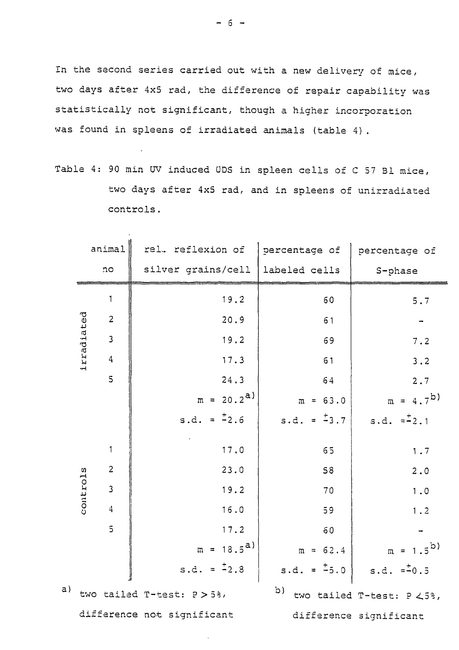In the second series carried out with a new delivery of mice, two days after 4x5 rad, the difference of repair capability was statistically not significant, though a higher incorporation was found in spleens of irradiated animals (table 4).

Table 4: 90 min UV induced ÜDS in spleen cells of C 57 31 mice, two days after 4x5 rad, and in spleens of unirradiated controls.

 $\ddot{\phantom{a}}$ 

|    |            | animal                  | rel. reflexion of          | percentage of           | percentage of             |
|----|------------|-------------------------|----------------------------|-------------------------|---------------------------|
|    |            | no                      | silver grains/cell         | labeled cells           | S-phase                   |
|    |            | $\mathbf{1}$            | 19.2                       | 60                      | 5.7                       |
|    |            | $\overline{c}$          | 20.9                       | 61                      |                           |
|    |            | $\overline{3}$          | 19.2                       | 69                      | 7.2                       |
|    | irradiated | $\bf 4$                 | 17.3                       | 61                      | 3.2                       |
|    |            | $\overline{5}$          | 24.3                       | 64                      | 2.7                       |
|    |            |                         | $m = 20.2^{a}$             | $m = 63.0$              | $m = 4.7^{b}$             |
|    |            |                         | s.d. = $\frac{1}{2}$ .6    | s.d. = $\frac{+}{-}3.7$ | s.d. $=\pm 2.1$           |
|    |            | $\mathbf{1}$            | 17.0                       | 65                      | 1.7                       |
|    |            | $\overline{c}$          | 23.0                       | 58                      | $2.0$                     |
|    | controls   | $\overline{\mathbf{3}}$ | 19.2                       | 70                      | 1.0                       |
|    |            | $\bf 4$                 | 16.0                       | 59                      | 1.2                       |
|    |            | $\overline{5}$          | 17.2                       | 60                      |                           |
|    |            |                         | $m = 18.5^{a}$             | $m = 62.4$              | $m = 1.5^{b}$             |
|    |            |                         | s.d. = $\frac{1}{2}$ .8    | $s.d. = \frac{1}{2}5.0$ | $s.d. = -0.5$             |
| a) |            |                         | two tailed T-test: P > 5%, | $\mathfrak{p})$         | two tailed T-test: P <5%, |
|    |            |                         | difference not significant |                         | difference significant    |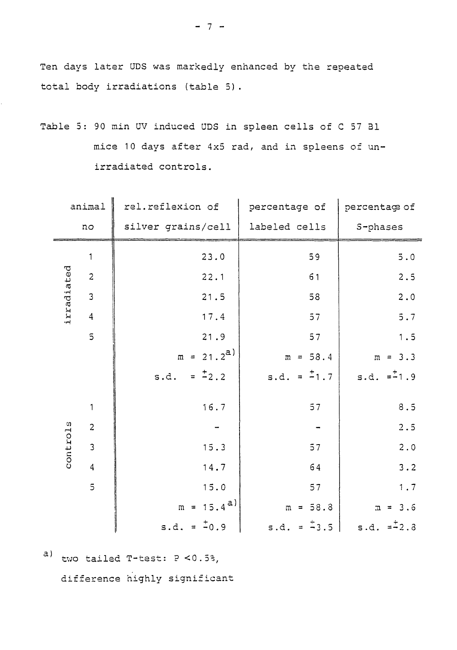Ten days later UDS was markedly enhanced by the repeated total body irradiations (table 5).

| Table 5: 90 min UV induced UDS in spleen cells of C 57 Bl |  |  |                                                   |  |  |  |  |  |
|-----------------------------------------------------------|--|--|---------------------------------------------------|--|--|--|--|--|
|                                                           |  |  | mice 10 days after 4x5 rad, and in spleens of un- |  |  |  |  |  |
|                                                           |  |  | irradiated controls.                              |  |  |  |  |  |

| animal     |                         | rel.reflexion of       | percentage of            | percentage of             |
|------------|-------------------------|------------------------|--------------------------|---------------------------|
| no         |                         | silver grains/cell     | labeled cells            | S-phases                  |
|            | $\mathbf{1}$            | 23.0                   | 59                       | $\mathbf 5$ . $\mathbf 0$ |
|            | $\overline{2}$          | 22.1                   | 61                       | 2.5                       |
| irradiated | $\overline{3}$          | 21.5                   | 58                       | $2 \cdot 0$               |
|            | $\sqrt{4}$              | 17.4                   | $57$                     | $5.7$                     |
|            | $\overline{\mathbf{5}}$ | 21.9                   | 57                       | 1.5                       |
|            |                         | $m = 21.2^{a}$         | $m = 58.4$               | $m = 3.3$                 |
|            |                         | $= 2.2$<br>s.d.        | s.d. = $\frac{1}{2}$ 1.7 | $s.d. = -1.9$             |
|            | 1                       | 16.7                   | 57                       | $8.5\,$                   |
|            | $\overline{c}$          |                        |                          | 2.5                       |
| controls   | $\mathbf{3}$            | 15.3                   | 57                       | $2 \cdot 0$               |
|            | $\overline{4}$          | 14.7                   | 64                       | 3.2                       |
|            | 5                       | 15.0                   | 57                       | 1.7                       |
|            |                         | $m = 15.4^{a}$         | $m = 58.8$               | $m = 3.6$                 |
|            |                         | s.d. = $\frac{+}{0.9}$ | $s.d. = -3.5$            | s.d. $= -2.3$             |

a) two tailed  $T$ -test:  $P < 0.5$ %, difference highly significant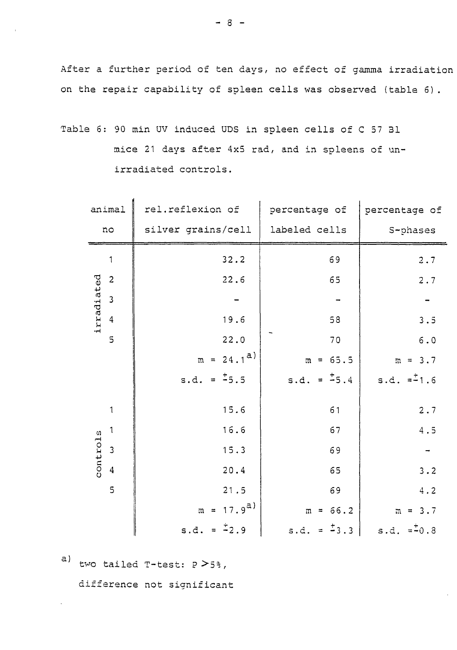After a further period of ten days, no effect of gamma irradiation on the repair capability of spleen cells was observed (table 6) .

Table 6: 90 min ÜV induced ÜDS in spleen cells of C 57 31 mice 21 days after 4x5 rad, and in spleens of unirradiated controls.

| animal                                | rel.reflexion of        | percentage of            | percentage of |
|---------------------------------------|-------------------------|--------------------------|---------------|
| no                                    | silver grains/cell      | labeled cells            | S-phases      |
| $\mathbf 1$                           | 32.2                    | 69                       | 2.7           |
| $\overline{2}$                        | 22.6                    | 65                       | 2.7           |
| irradiated<br>$\overline{\mathbf{3}}$ |                         |                          |               |
| $\overline{4}$                        | 19.6                    | 58                       | 3.5           |
| 5                                     | 22.0                    | 70                       | $6.0$         |
|                                       | $m = 24.1^{d}$          | $m = 65.5$               | $m = 3.7$     |
|                                       | s.d. = $\pm$ 5.5        | s.d. = $\pm$ 5.4         | $s.d. = -1.6$ |
| $\mathbf 1$                           | 15.6                    | 61                       | 2.7           |
| $\mathbf{1}$                          | 16.6                    | 67                       | $4.5$         |
| controls<br>$\overline{3}$            | 15.3                    | 69                       |               |
| $\boldsymbol{4}$                      | 20.4                    | 65                       | 3.2           |
| 5                                     | 21.5                    | 69                       | 4.2           |
|                                       | $m = 17.9^{a}$          | $m = 66.2$               | $m = 3.7$     |
|                                       | s.d. = $\frac{1}{2}$ .9 | s.d. = $\frac{1}{2}$ 3.3 | $s.d. = -0.8$ |

a) tvo tailed T-test: P>5% ,

difference not significant

- 8 -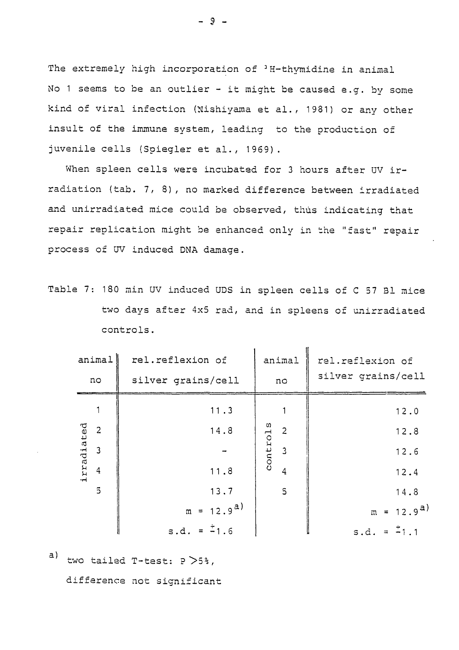The extremely high incorporation of <sup>3</sup>H-thymidine in animal No 1 seems to be an outlier - it might be caused e.g. by some kind of viral infection (Nishiyama et al., 1981) or any other insult of the immune system, leading to the production of juvenile cells (Spiegler et al., 1969).

When spleen cells were incubated for 3 hours after UV irradiation (tab. 7, 8), no marked difference between irradiated and unirradiated mice could be observed, thus indicating that repair replication might be enhanced only in the "fast" repair process of UV induced DNA damage.

Table 7: 180 min UV induced UDS in spleen cells of C 57 31 mice two days after 4x5 rad, and in spleens of unirradiated controls.

|            | animal         | rel.reflexion of<br>animal |          |                | rel.reflexion of   |  |  |  |
|------------|----------------|----------------------------|----------|----------------|--------------------|--|--|--|
|            | no             | silver grains/cell         | no       |                | silver grains/cell |  |  |  |
|            |                | 11.3                       |          |                | 12.0               |  |  |  |
|            | $\overline{2}$ | 14.8                       |          | $\overline{2}$ | 12.8               |  |  |  |
| irradiated | $\overline{3}$ |                            | controls | $\overline{3}$ | 12.6               |  |  |  |
|            | $\overline{4}$ | 11.8                       |          | $\overline{4}$ | 12.4               |  |  |  |
|            | $\overline{5}$ | 13.7                       |          | $\mathsf{S}$   | 14.8               |  |  |  |
|            |                | $m = 12.9^{a}$             |          |                | $m = 12.9^{a}$     |  |  |  |
|            |                | s.d. = $\pm$ 1.6           |          |                | s.d. = $-1.1$      |  |  |  |

 $a)$ 

two tailed  $T$ -test:  $P > 5$ 3,

difference not significant

- 9 -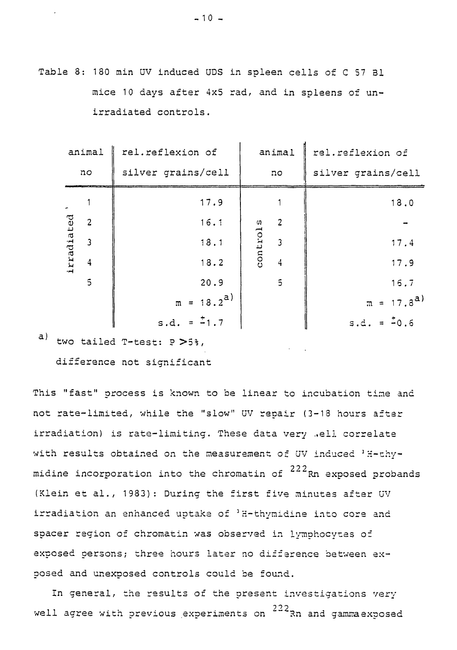Table 8: 180 min UV induced ÜDS in spleen cells of C 57 Bl mice 10 days after 4x5 rad, and in spleens of unirradiated controls.

|            | animal                  | rel.reflexion of   |          | animal         | rel.reflexion of   |
|------------|-------------------------|--------------------|----------|----------------|--------------------|
| nc         |                         | silver grains/cell |          | no             | silver grains/cell |
|            |                         | 17.9               |          |                | 18.0               |
|            | $\overline{c}$          | 16.1               |          | $\overline{2}$ |                    |
|            | $\overline{\mathbf{3}}$ | 18.1               | controls | $\overline{3}$ | 17.4               |
| irradiated | $\overline{4}$          | 18.2               |          | $\overline{4}$ | 17.9               |
|            | 5                       | 20.9               |          | $\overline{5}$ | 16.7               |
|            |                         | $m = 18.2^{a}$     |          | $m = 17.8^{a}$ |                    |
|            |                         | s.d. = $-1.7$      |          |                | $s.d. = 0.6$       |

a) two tailed T-test: P >5%,

difference not significant

This "fast" process is known to be linear to incubation tine and not rate-limited, while the "slow" UV repair (3-18 hours after irradiation) is rate-limiting. These data very .well correlate with results obtained on the measurement of UV induced 'H-thymidine incorporation into the chromatin of  $^{222}\rm{R}$ n exposed probands (Klein et al., 1983): During the first five minutes after UV irradiation an enhanced uptake of 'H-thymidine into core and spacer region of chromatin was observed in lymphocytes of exposed persons; three hours later no difference between exposed and unexposed controls could be found.

In general, the results of the present investigations very well agree with previous experiments on <sup>222</sup>Rn and gamma exposed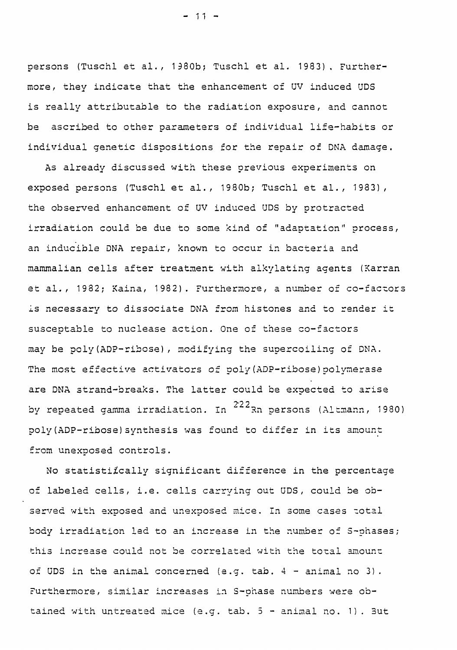persons (Tuschl et al., 1980b; Tuschl et al. 1983). Furthermore, they indicate that the enhancement of UV induced UDS is really attributable to the radiation exposure, and cannot be ascribed to other parameters of individual life-habits or individual genetic dispositions for the repair of DNA damage.

As already discussed with these previous experiments on exposed persons (Tuschl et al., 1980b; Tuschl et al., 1983), the observed enhancement of UV induced UDS by protracted irradiation could be due to some kind of "adaptation" process, an inducible DNA repair, known to occur in bacteria and mammalian cells after treatment with alkylating agents (Karran et al., 1982; Kaina, 1982). Furthermore, a number of co-factors is necessary to dissociate DNA from histones and to render it susceptable to nuclease action. One of these co-factors may be poly(ADP-ribose), modifying the supercoiling of DMA. The most effective activators of poly(ADP-ribose)polymerase are DNA strand-breaks. The latter could be expected to arise by repeated gamma irradiation. In  $222$ Rn persons (Altmann, 1980) poly (ADP-ribose) synthesis was found to differ in its amount from unexposed controls.

No statistiically significant difference in the percentage of labeled cells, i.e. cells carrying out UDS, could be observed with exposed and unexposed mice. In some cases total body irradiation led to an increase in the number of S-phases; this increase could not be correlated with the total amount of UDS in the animal concerned (e.g. tab.  $4$  - animal no 3). Furthermore, similar increases in S-phase numbers were obtained with untreated mice (e.g. tab.  $5$  - animal no. 1). But

 $-11 -$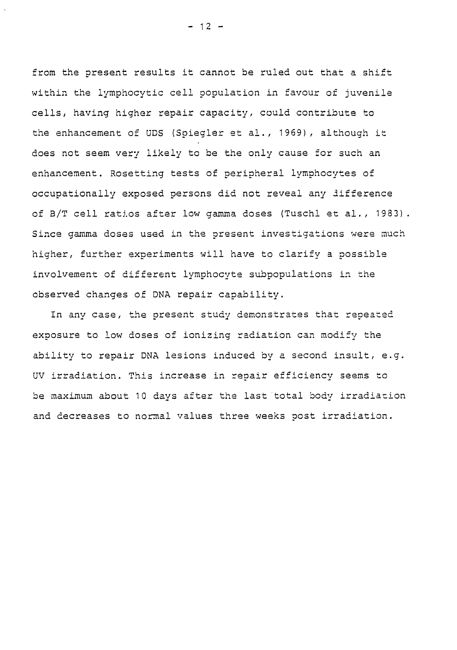from the present results it cannot be ruled out that a shift within the lymphocytic cell population in favour of juvenile cells, having higher repair capacity, could contribute to the enhancement of UDS (Spiegier et al., 1969), although it does not seem very likely to be the only cause for such an enhancement. Rosetting tests of peripheral lymphocytes of occupationally exposed persons did not reveal any difference of B/T cell ratios after low gamma doses (Tuschl et al., 1933). Since gamma doses used in the present investigations were much higher, further experiments will have to clarify a possible involvement of different lymphocyte subpopulations in the observed changes of DNA repair capability.

In any case, the present study demonstrates that repeated exposure to low doses of ionizing radiation can modify the ability to repair DNA lesions induced by a second insult, e.g. ÜV irradiation. This increase in repair efficiency seems to be maximum about 10 days after the last total body irradiation and decreases to normal values three weeks oost irradiation.

 $- 12 -$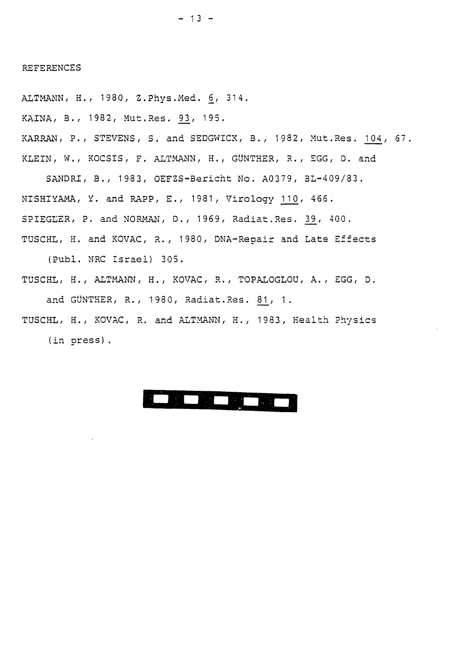#### REFERENCES

ALTMANN, H., 1980, Z.Phys. Med. 6, 314. KAINA, B., 1982, Mut.Res. <u>93</u>, 195. KARRAN, P., STEVENS, S. and SEDGWICK, B., 1982, Mut.Res. 104, 67. KLEIN, W., KOCSIS, F. ALTMANN, H., GÜNTHER, R., EGG, D. and

SANDRI, B., 1983, OEFZS-Bericht No. A0379, BL-409/33. NISHIYAMA, Y. and RAPP, E., 1981, Virology 110, 466. SPIEGLER, P. and NORMAN, D., 1969, Radiat.Res. 39, 400. TUSCHL, H. and KOVAC, R., 1980, DNA-Repair and Late Effects

(Publ. MRC Israel) 305.

- TUSCHL, H., ALTMANN, H., KOVAC, R., TOPALOGLOU, A., EGG, D. and GÜNTHER, R., 1980, Radiat.Res. 81, 1.
- TUSCHL, H., KOVAC, R. and ALTMANN, H., 1983, Health Physics (in press).

## SOFT FOR